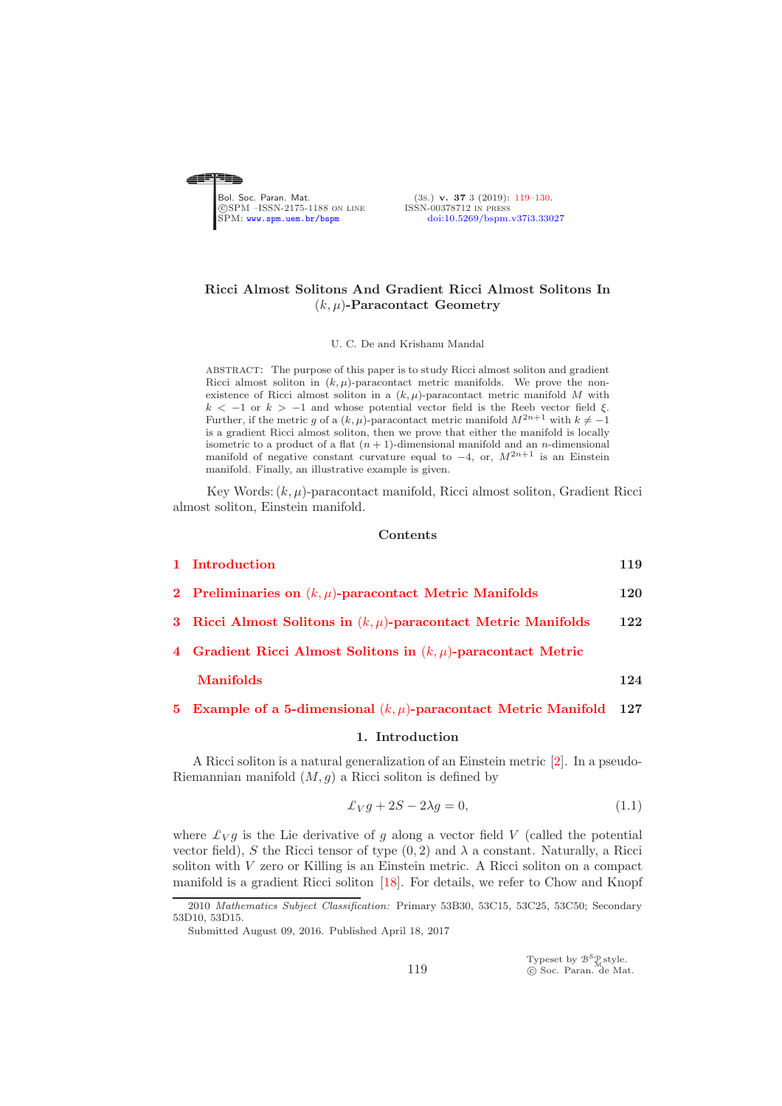<span id="page-0-0"></span>

(3s.) v. 37 3 (2019): [119](#page-0-0)-130.<br>ISSN-00378712 IN PRESS SPM: <www.spm.uem.br/bspm> [doi:10.5269/bspm.v37i3.33027](http://dx.doi.org/10.5269/bspm.v37i3.33027)

# Ricci Almost Solitons And Gradient Ricci Almost Solitons In  $(k, \mu)$ -Paracontact Geometry

### U. C. De and Krishanu Mandal

abstract: The purpose of this paper is to study Ricci almost soliton and gradient Ricci almost soliton in  $(k, \mu)$ -paracontact metric manifolds. We prove the nonexistence of Ricci almost soliton in a  $(k, \mu)$ -paracontact metric manifold M with k < −1 or k > −1 and whose potential vector field is the Reeb vector field  $\xi$ .<br>Further, if the metric g of a  $(k, \mu)$ -paracontact metric manifold  $M^{2n+1}$  with  $k \neq -1$ is a gradient Ricci almost soliton, then we prove that either the manifold is locally isometric to a product of a flat  $(n + 1)$ -dimensional manifold and an *n*-dimensional manifold of negative constant curvature equal to  $-4$ , or,  $M^{2n+1}$  is an Einstein manifold. Finally, an illustrative example is given.

Key Words:  $(k, \mu)$ -paracontact manifold, Ricci almost soliton, Gradient Ricci almost soliton, Einstein manifold.

#### Contents

| 1 Introduction                                                      | 119 |
|---------------------------------------------------------------------|-----|
| 2 Preliminaries on $(k, \mu)$ -paracontact Metric Manifolds         | 120 |
| 3 Ricci Almost Solitons in $(k, \mu)$ -paracontact Metric Manifolds | 122 |
| 4 Gradient Ricci Almost Solitons in $(k, \mu)$ -paracontact Metric  |     |
| <b>Manifolds</b>                                                    | 124 |

# <span id="page-0-1"></span>[5 Example of a 5-dimensional](#page-8-0)  $(k, \mu)$ -paracontact Metric Manifold 127

#### 1. Introduction

A Ricci soliton is a natural generalization of an Einstein metric [\[2\]](#page-10-1). In a pseudo-Riemannian manifold  $(M, g)$  a Ricci soliton is defined by

<span id="page-0-2"></span>
$$
\pounds_V g + 2S - 2\lambda g = 0,\tag{1.1}
$$

where  $\mathcal{L}_V g$  is the Lie derivative of g along a vector field V (called the potential vector field), S the Ricci tensor of type  $(0, 2)$  and  $\lambda$  a constant. Naturally, a Ricci soliton with V zero or Killing is an Einstein metric. A Ricci soliton on a compact manifold is a gradient Ricci soliton [\[18\]](#page-10-2). For details, we refer to Chow and Knopf

Typeset by  $\mathcal{B}^{\mathcal{S}}_{\mathcal{M}}$ style.<br>© Soc. Paran. de Mat.

<sup>2010</sup> *Mathematics Subject Classification:* Primary 53B30, 53C15, 53C25, 53C50; Secondary 53D10, 53D15.

Submitted August 09, 2016. Published April 18, 2017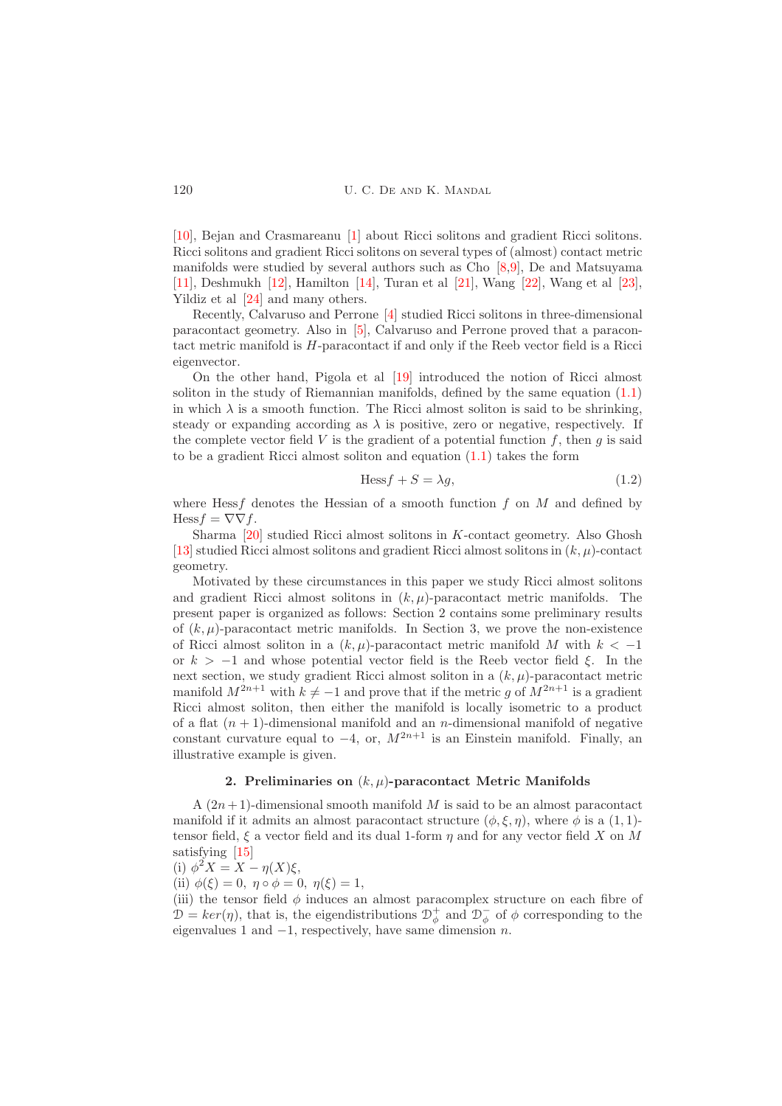[\[10\]](#page-10-3), Bejan and Crasmareanu [\[1\]](#page-10-4) about Ricci solitons and gradient Ricci solitons. Ricci solitons and gradient Ricci solitons on several types of (almost) contact metric manifolds were studied by several authors such as Cho [\[8](#page-10-5)[,9\]](#page-10-6), De and Matsuyama [\[11\]](#page-10-7), Deshmukh [\[12\]](#page-10-8), Hamilton [\[14\]](#page-10-9), Turan et al [\[21\]](#page-10-10), Wang [\[22\]](#page-11-0), Wang et al [\[23\]](#page-11-1), Yildiz et al [\[24\]](#page-11-2) and many others.

Recently, Calvaruso and Perrone [\[4\]](#page-10-11) studied Ricci solitons in three-dimensional paracontact geometry. Also in [\[5\]](#page-10-12), Calvaruso and Perrone proved that a paracontact metric manifold is H-paracontact if and only if the Reeb vector field is a Ricci eigenvector.

On the other hand, Pigola et al [\[19\]](#page-10-13) introduced the notion of Ricci almost soliton in the study of Riemannian manifolds, defined by the same equation [\(1.1\)](#page-0-2) in which  $\lambda$  is a smooth function. The Ricci almost soliton is said to be shrinking, steady or expanding according as  $\lambda$  is positive, zero or negative, respectively. If the complete vector field V is the gradient of a potential function  $f$ , then  $q$  is said to be a gradient Ricci almost soliton and equation [\(1.1\)](#page-0-2) takes the form

<span id="page-1-1"></span>
$$
\text{Hess} f + S = \lambda g,\tag{1.2}
$$

where Hess f denotes the Hessian of a smooth function f on  $M$  and defined by Hess  $f = \nabla \nabla f$ .

Sharma [\[20\]](#page-10-14) studied Ricci almost solitons in  $K$ -contact geometry. Also Ghosh [\[13\]](#page-10-15) studied Ricci almost solitons and gradient Ricci almost solitons in  $(k, \mu)$ -contact geometry.

Motivated by these circumstances in this paper we study Ricci almost solitons and gradient Ricci almost solitons in  $(k, \mu)$ -paracontact metric manifolds. The present paper is organized as follows: Section 2 contains some preliminary results of  $(k, \mu)$ -paracontact metric manifolds. In Section 3, we prove the non-existence of Ricci almost soliton in a  $(k, \mu)$ -paracontact metric manifold M with  $k < -1$ or  $k > -1$  and whose potential vector field is the Reeb vector field  $\xi$ . In the next section, we study gradient Ricci almost soliton in a  $(k, \mu)$ -paracontact metric manifold  $M^{2n+1}$  with  $k \neq -1$  and prove that if the metric g of  $M^{2n+1}$  is a gradient Ricci almost soliton, then either the manifold is locally isometric to a product of a flat  $(n + 1)$ -dimensional manifold and an *n*-dimensional manifold of negative constant curvature equal to  $-4$ , or,  $M^{2n+1}$  is an Einstein manifold. Finally, an illustrative example is given.

# 2. Preliminaries on  $(k, \mu)$ -paracontact Metric Manifolds

<span id="page-1-0"></span>A  $(2n+1)$ -dimensional smooth manifold M is said to be an almost paracontact manifold if it admits an almost paracontact structure  $(\phi, \xi, \eta)$ , where  $\phi$  is a  $(1, 1)$ tensor field,  $\xi$  a vector field and its dual 1-form  $\eta$  and for any vector field X on M satisfying [\[15\]](#page-10-16)

(i) 
$$
\phi^2 X = X - \eta(X)\xi,
$$

(ii)  $\phi(\xi) = 0, \eta \circ \phi = 0, \eta(\xi) = 1,$ 

(iii) the tensor field  $\phi$  induces an almost paracomplex structure on each fibre of  $\mathcal{D} = \ker(\eta)$ , that is, the eigendistributions  $\mathcal{D}^+_{\phi}$  and  $\mathcal{D}^-_{\phi}$  of  $\phi$  corresponding to the eigenvalues 1 and  $-1$ , respectively, have same dimension n.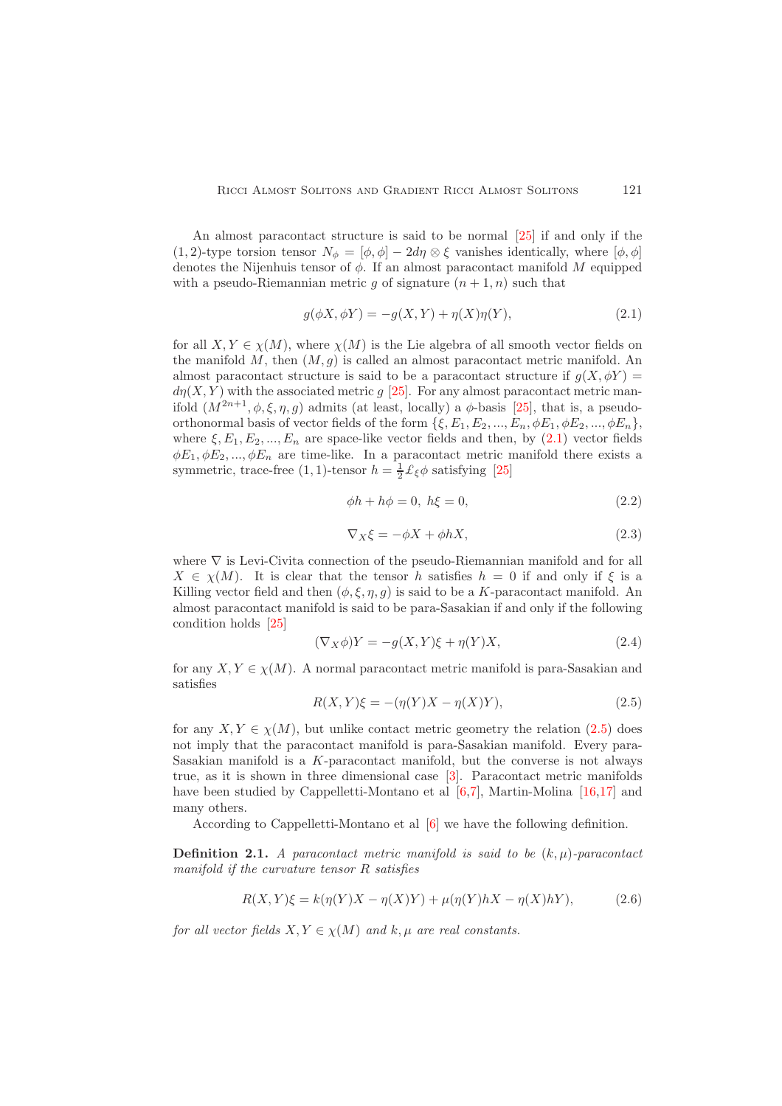An almost paracontact structure is said to be normal [\[25\]](#page-11-3) if and only if the (1, 2)-type torsion tensor  $N_{\phi} = [\phi, \phi] - 2d\eta \otimes \xi$  vanishes identically, where  $[\phi, \phi]$ denotes the Nijenhuis tensor of  $\phi$ . If an almost paracontact manifold M equipped with a pseudo-Riemannian metric q of signature  $(n + 1, n)$  such that

<span id="page-2-0"></span>
$$
g(\phi X, \phi Y) = -g(X, Y) + \eta(X)\eta(Y),\tag{2.1}
$$

for all  $X, Y \in \chi(M)$ , where  $\chi(M)$  is the Lie algebra of all smooth vector fields on the manifold  $M$ , then  $(M, g)$  is called an almost paracontact metric manifold. An almost paracontact structure is said to be a paracontact structure if  $q(X, \phi Y)$  =  $d\eta(X, Y)$  with the associated metric g [\[25\]](#page-11-3). For any almost paracontact metric manifold  $(M^{2n+1}, \phi, \xi, \eta, g)$  admits (at least, locally) a  $\phi$ -basis [\[25\]](#page-11-3), that is, a pseudoorthonormal basis of vector fields of the form  $\{\xi, E_1, E_2, ..., E_n, \phi E_1, \phi E_2, ..., \phi E_n\},\$ where  $\xi, E_1, E_2, ..., E_n$  are space-like vector fields and then, by [\(2.1\)](#page-2-0) vector fields  $\phi E_1, \phi E_2, ..., \phi E_n$  are time-like. In a paracontact metric manifold there exists a symmetric, trace-free (1, 1)-tensor  $h = \frac{1}{2} \mathcal{L}_{\xi} \phi$  satisfying [\[25\]](#page-11-3)

$$
\phi h + h\phi = 0, \ h\xi = 0,\tag{2.2}
$$

<span id="page-2-2"></span>
$$
\nabla_X \xi = -\phi X + \phi h X,\tag{2.3}
$$

where ∇ is Levi-Civita connection of the pseudo-Riemannian manifold and for all  $X \in \chi(M)$ . It is clear that the tensor h satisfies  $h = 0$  if and only if  $\xi$  is a Killing vector field and then  $(\phi, \xi, \eta, g)$  is said to be a K-paracontact manifold. An almost paracontact manifold is said to be para-Sasakian if and only if the following condition holds [\[25\]](#page-11-3)

$$
(\nabla_X \phi)Y = -g(X, Y)\xi + \eta(Y)X,\tag{2.4}
$$

for any  $X, Y \in \chi(M)$ . A normal paracontact metric manifold is para-Sasakian and satisfies

<span id="page-2-1"></span>
$$
R(X,Y)\xi = -(\eta(Y)X - \eta(X)Y),
$$
\n(2.5)

for any  $X, Y \in \chi(M)$ , but unlike contact metric geometry the relation [\(2.5\)](#page-2-1) does not imply that the paracontact manifold is para-Sasakian manifold. Every para-Sasakian manifold is a  $K$ -paracontact manifold, but the converse is not always true, as it is shown in three dimensional case [\[3\]](#page-10-17). Paracontact metric manifolds have been studied by Cappelletti-Montano et al  $[6,7]$  $[6,7]$ , Martin-Molina  $[16,17]$  $[16,17]$  and many others.

According to Cappelletti-Montano et al [\[6\]](#page-10-18) we have the following definition.

**Definition 2.1.** A paracontact metric manifold is said to be  $(k, \mu)$ -paracontact manifold if the curvature tensor R satisfies

<span id="page-2-3"></span>
$$
R(X,Y)\xi = k(\eta(Y)X - \eta(X)Y) + \mu(\eta(Y)hX - \eta(X)hY),\tag{2.6}
$$

for all vector fields  $X, Y \in \chi(M)$  and k,  $\mu$  are real constants.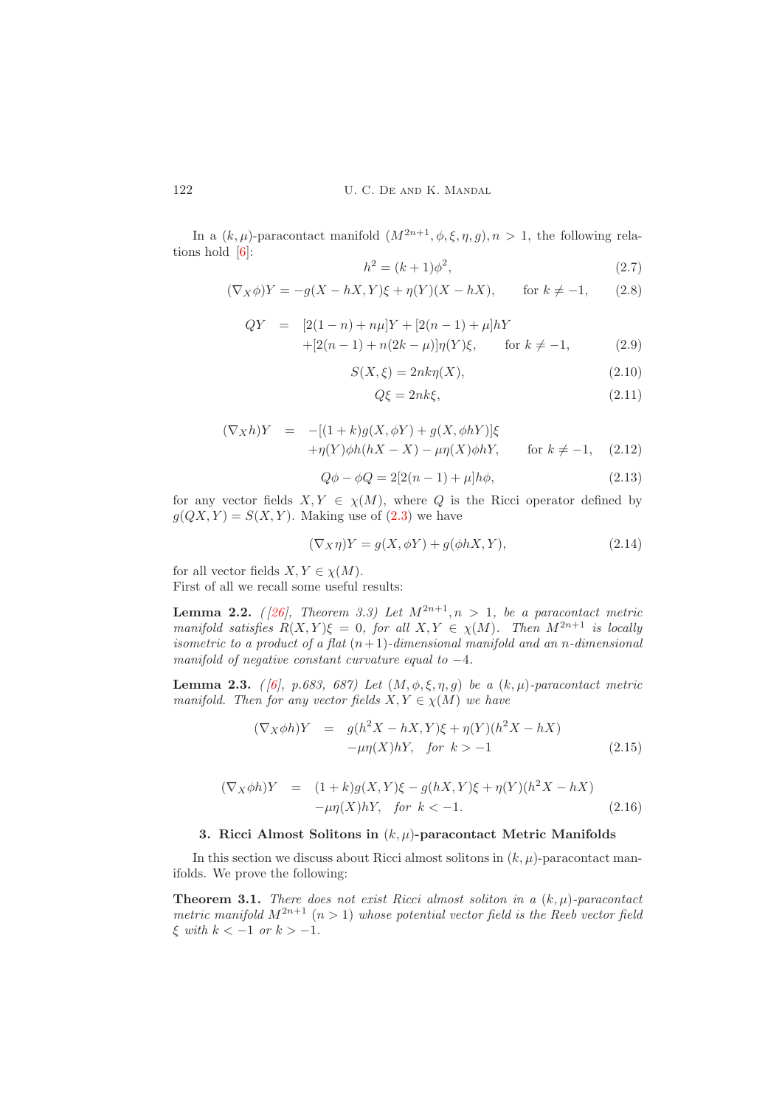In a  $(k, \mu)$ -paracontact manifold  $(M^{2n+1}, \phi, \xi, \eta, g), n > 1$ , the following relations hold [\[6\]](#page-10-18):

$$
h^2 = (k+1)\phi^2,\t\t(2.7)
$$

$$
(\nabla_X \phi)Y = -g(X - hX, Y)\xi + \eta(Y)(X - hX), \quad \text{for } k \neq -1,
$$
 (2.8)

<span id="page-3-1"></span>
$$
QY = [2(1-n) + n\mu]Y + [2(n-1) + \mu]hY
$$
  
+ 
$$
[2(n-1) + n(2k - \mu)]\eta(Y)\xi, \quad \text{for } k \neq -1,
$$
 (2.9)

$$
S(X,\xi) = 2nk\eta(X),\tag{2.10}
$$

<span id="page-3-6"></span>
$$
Q\xi = 2nk\xi,\tag{2.11}
$$

<span id="page-3-3"></span>
$$
(\nabla_X h)Y = -[(1+k)g(X,\phi Y) + g(X,\phi hY)]\xi + \eta(Y)\phi h(hX - X) - \mu\eta(X)\phi hY, \quad \text{for } k \neq -1, \quad (2.12)
$$

$$
Q\phi - \phi Q = 2[2(n-1) + \mu]h\phi,
$$
\n(2.13)

for any vector fields  $X, Y \in \chi(M)$ , where Q is the Ricci operator defined by  $g(QX, Y) = S(X, Y)$ . Making use of  $(2.3)$  we have

<span id="page-3-4"></span>
$$
(\nabla_X \eta)Y = g(X, \phi Y) + g(\phi hX, Y), \qquad (2.14)
$$

for all vector fields  $X, Y \in \chi(M)$ .

First of all we recall some useful results:

<span id="page-3-7"></span>**Lemma 2.2.** ([26], Theorem 3.3) Let  $M^{2n+1}, n > 1$ , be a paracontact metric manifold satisfies  $R(X, Y)\xi = 0$ , for all  $X, Y \in \chi(M)$ . Then  $M^{2n+1}$  is locally isometric to a product of a flat  $(n+1)$ -dimensional manifold and an n-dimensional manifold of negative constant curvature equal to  $-4$ .

**Lemma 2.3.** (  $\begin{bmatrix} 6 \end{bmatrix}$ , p.683, 687) Let  $(M, \phi, \xi, \eta, g)$  be a  $(k, \mu)$ -paracontact metric manifold. Then for any vector fields  $X, Y \in \chi(M)$  we have

<span id="page-3-2"></span>
$$
(\nabla_X \phi h)Y = g(h^2 X - hX, Y)\xi + \eta(Y)(h^2 X - hX)
$$
  
- $\mu\eta(X)hY$ , for  $k > -1$  (2.15)

<span id="page-3-5"></span>
$$
(\nabla_X \phi h)Y = (1+k)g(X,Y)\xi - g(hX,Y)\xi + \eta(Y)(h^2 X - hX) - \mu \eta(X)hY, \text{ for } k < -1.
$$
 (2.16)

# <span id="page-3-0"></span>3. Ricci Almost Solitons in  $(k, \mu)$ -paracontact Metric Manifolds

In this section we discuss about Ricci almost solitons in  $(k, \mu)$ -paracontact manifolds. We prove the following:

<span id="page-3-8"></span>**Theorem 3.1.** There does not exist Ricci almost soliton in a  $(k, \mu)$ -paracontact metric manifold  $M^{2n+1}$   $(n > 1)$  whose potential vector field is the Reeb vector field  $\xi$  with  $k < -1$  or  $k > -1$ .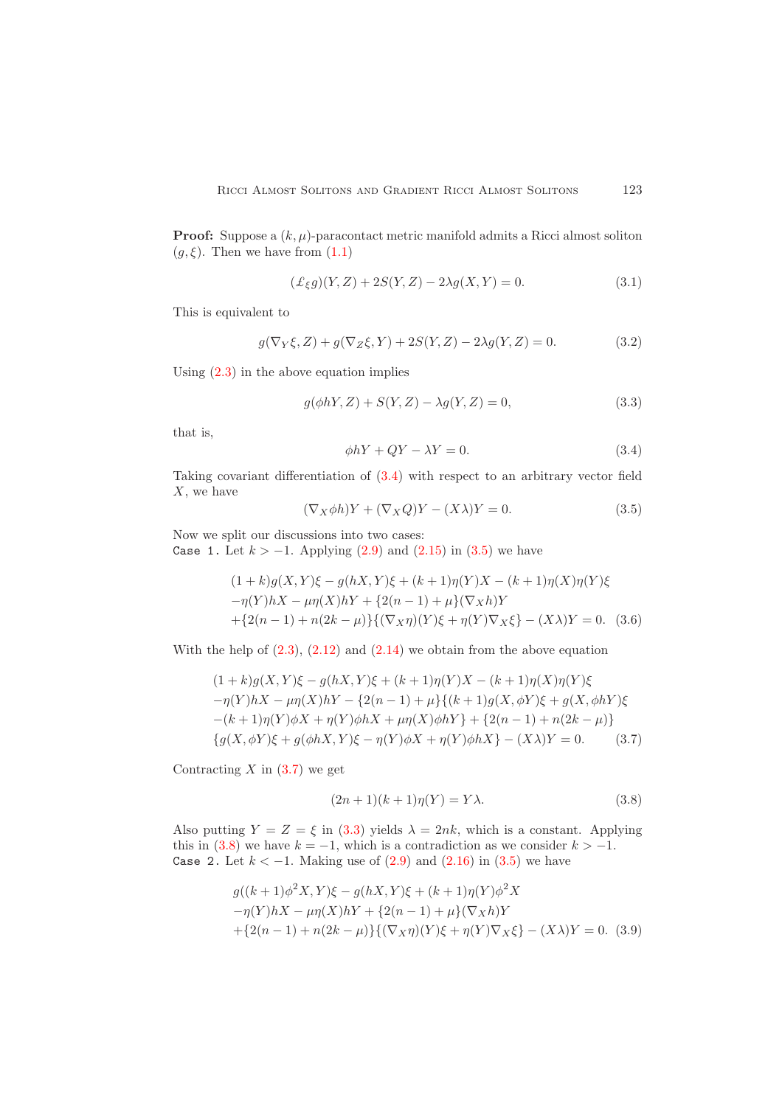**Proof:** Suppose a  $(k, \mu)$ -paracontact metric manifold admits a Ricci almost soliton  $(g,\xi)$ . Then we have from  $(1.1)$ 

<span id="page-4-5"></span>
$$
(\pounds_{\xi}g)(Y,Z) + 2S(Y,Z) - 2\lambda g(X,Y) = 0.
$$
\n(3.1)

This is equivalent to

$$
g(\nabla_Y \xi, Z) + g(\nabla_Z \xi, Y) + 2S(Y, Z) - 2\lambda g(Y, Z) = 0.
$$
 (3.2)

Using  $(2.3)$  in the above equation implies

<span id="page-4-3"></span>
$$
g(\phi hY, Z) + S(Y, Z) - \lambda g(Y, Z) = 0,
$$
\n(3.3)

that is,

<span id="page-4-0"></span>
$$
\phi hY + QY - \lambda Y = 0. \tag{3.4}
$$

Taking covariant differentiation of [\(3.4\)](#page-4-0) with respect to an arbitrary vector field X, we have

<span id="page-4-1"></span>
$$
(\nabla_X \phi h)Y + (\nabla_X Q)Y - (X\lambda)Y = 0.
$$
\n(3.5)

Now we split our discussions into two cases:

Case 1. Let  $k > −1$ . Applying [\(2.9\)](#page-3-1) and [\(2.15\)](#page-3-2) in [\(3.5\)](#page-4-1) we have

$$
(1 + k)g(X, Y)\xi - g(hX, Y)\xi + (k+1)\eta(Y)X - (k+1)\eta(X)\eta(Y)\xi
$$
  
-\eta(Y)hX - \mu\eta(X)hY + \{2(n-1) + \mu\}(\nabla\_X h)Y  
+ \{2(n-1) + n(2k - \mu)\}(\nabla\_X \eta)(Y)\xi + \eta(Y)\nabla\_X \xi\} - (X\lambda)Y = 0. (3.6)

With the help of  $(2.3)$ ,  $(2.12)$  and  $(2.14)$  we obtain from the above equation

<span id="page-4-2"></span>
$$
(1 + k)g(X, Y)\xi - g(hX, Y)\xi + (k+1)\eta(Y)X - (k+1)\eta(X)\eta(Y)\xi
$$
  
- $\eta(Y)hX - \mu\eta(X)hY - \{2(n-1) + \mu\}\{(k+1)g(X, \phi Y)\xi + g(X, \phi hY)\xi$   
-(k+1)\eta(Y)\phi X + \eta(Y)\phi hX + \mu\eta(X)\phi hY\} + \{2(n-1) + n(2k - \mu)\}\{g(X, \phi Y)\xi + g(\phi hX, Y)\xi - \eta(Y)\phi X + \eta(Y)\phi hX\} - (X\lambda)Y = 0. (3.7)

Contracting  $X$  in  $(3.7)$  we get

<span id="page-4-4"></span>
$$
(2n+1)(k+1)\eta(Y) = Y\lambda.
$$
\n(3.8)

Also putting  $Y = Z = \xi$  in [\(3.3\)](#page-4-3) yields  $\lambda = 2nk$ , which is a constant. Applying this in  $(3.8)$  we have  $k = -1$ , which is a contradiction as we consider  $k > -1$ . Case 2. Let  $k < −1$ . Making use of  $(2.9)$  and  $(2.16)$  in  $(3.5)$  we have

$$
g((k+1)\phi^2 X, Y)\xi - g(hX, Y)\xi + (k+1)\eta(Y)\phi^2 X
$$
  
- $\eta(Y)hX - \mu\eta(X)hY + \{2(n-1) + \mu\}(\nabla_X h)Y$   
+ $\{2(n-1) + n(2k - \mu)\} \{(\nabla_X \eta)(Y)\xi + \eta(Y)\nabla_X \xi\} - (X\lambda)Y = 0.$  (3.9)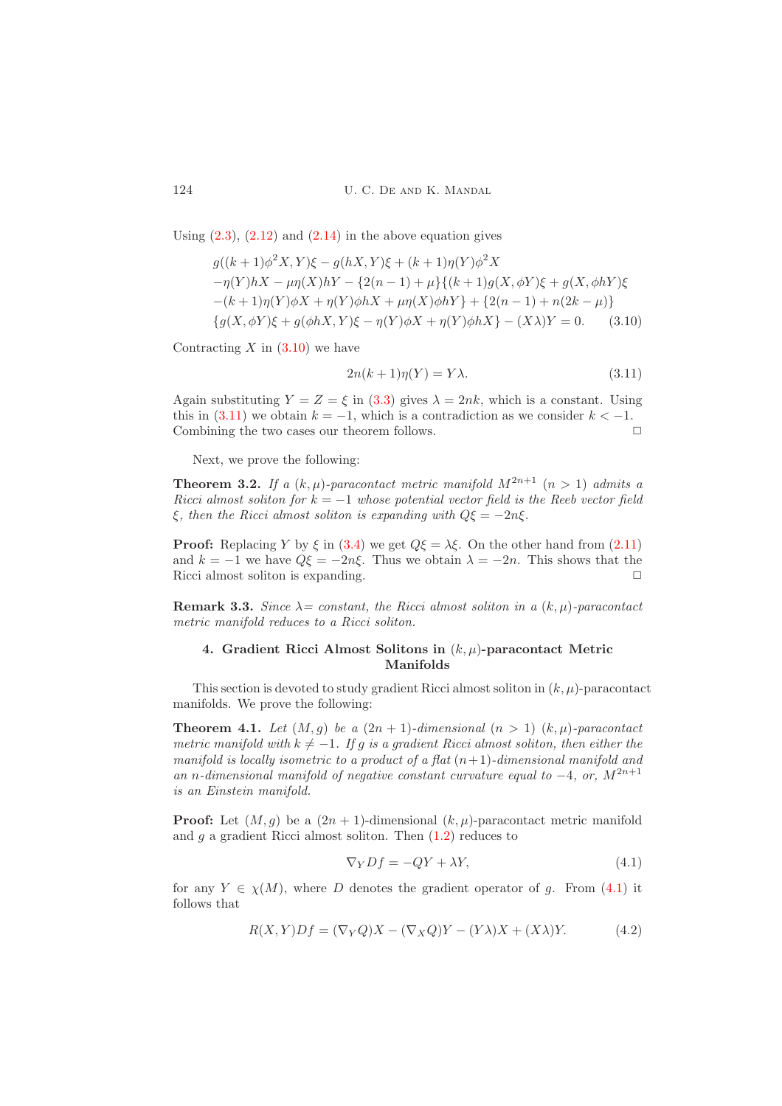Using  $(2.3)$ ,  $(2.12)$  and  $(2.14)$  in the above equation gives

<span id="page-5-1"></span>
$$
g((k+1)\phi^2 X, Y)\xi - g(hX, Y)\xi + (k+1)\eta(Y)\phi^2 X - \eta(Y)hX - \mu\eta(X)hY - \{2(n-1) + \mu\}\{(k+1)g(X, \phi Y)\xi + g(X, \phi hY)\xi -(k+1)\eta(Y)\phi X + \eta(Y)\phi hX + \mu\eta(X)\phi hY\} + \{2(n-1) + n(2k - \mu)\}\
$$

$$
\{g(X, \phi Y)\xi + g(\phi hX, Y)\xi - \eta(Y)\phi X + \eta(Y)\phi hX\} - (X\lambda)Y = 0.
$$
 (3.10)

Contracting  $X$  in  $(3.10)$  we have

<span id="page-5-2"></span>
$$
2n(k+1)\eta(Y) = Y\lambda.
$$
\n(3.11)

Again substituting  $Y = Z = \xi$  in [\(3.3\)](#page-4-3) gives  $\lambda = 2nk$ , which is a constant. Using this in  $(3.11)$  we obtain  $k = -1$ , which is a contradiction as we consider  $k < -1$ . Combining the two cases our theorem follows.  $\Box$ 

Next, we prove the following:

**Theorem 3.2.** If a  $(k, \mu)$ -paracontact metric manifold  $M^{2n+1}$   $(n > 1)$  admits a Ricci almost soliton for  $k = -1$  whose potential vector field is the Reeb vector field ξ, then the Ricci almost soliton is expanding with  $Q\xi = -2n\xi$ .

**Proof:** Replacing Y by  $\xi$  in [\(3.4\)](#page-4-0) we get  $Q\xi = \lambda \xi$ . On the other hand from [\(2.11\)](#page-3-6) and  $k = -1$  we have  $Q\xi = -2n\xi$ . Thus we obtain  $\lambda = -2n$ . This shows that the Ricci almost soliton is expanding.

<span id="page-5-0"></span>**Remark 3.3.** Since  $\lambda$ = constant, the Ricci almost soliton in a  $(k, \mu)$ -paracontact metric manifold reduces to a Ricci soliton.

## 4. Gradient Ricci Almost Solitons in  $(k, \mu)$ -paracontact Metric Manifolds

This section is devoted to study gradient Ricci almost soliton in  $(k, \mu)$ -paracontact manifolds. We prove the following:

**Theorem 4.1.** Let  $(M, g)$  be a  $(2n + 1)$ -dimensional  $(n > 1)$   $(k, \mu)$ -paracontact metric manifold with  $k \neq -1$ . If g is a gradient Ricci almost soliton, then either the manifold is locally isometric to a product of a flat  $(n+1)$ -dimensional manifold and an n-dimensional manifold of negative constant curvature equal to  $-4$ , or,  $M^{2n+1}$ is an Einstein manifold.

**Proof:** Let  $(M, g)$  be a  $(2n + 1)$ -dimensional  $(k, \mu)$ -paracontact metric manifold and  $g$  a gradient Ricci almost soliton. Then  $(1.2)$  reduces to

<span id="page-5-3"></span>
$$
\nabla_Y Df = -QY + \lambda Y,\tag{4.1}
$$

for any  $Y \in \chi(M)$ , where D denotes the gradient operator of q. From [\(4.1\)](#page-5-3) it follows that

<span id="page-5-4"></span>
$$
R(X,Y)Df = (\nabla_Y Q)X - (\nabla_X Q)Y - (Y\lambda)X + (X\lambda)Y.
$$
\n(4.2)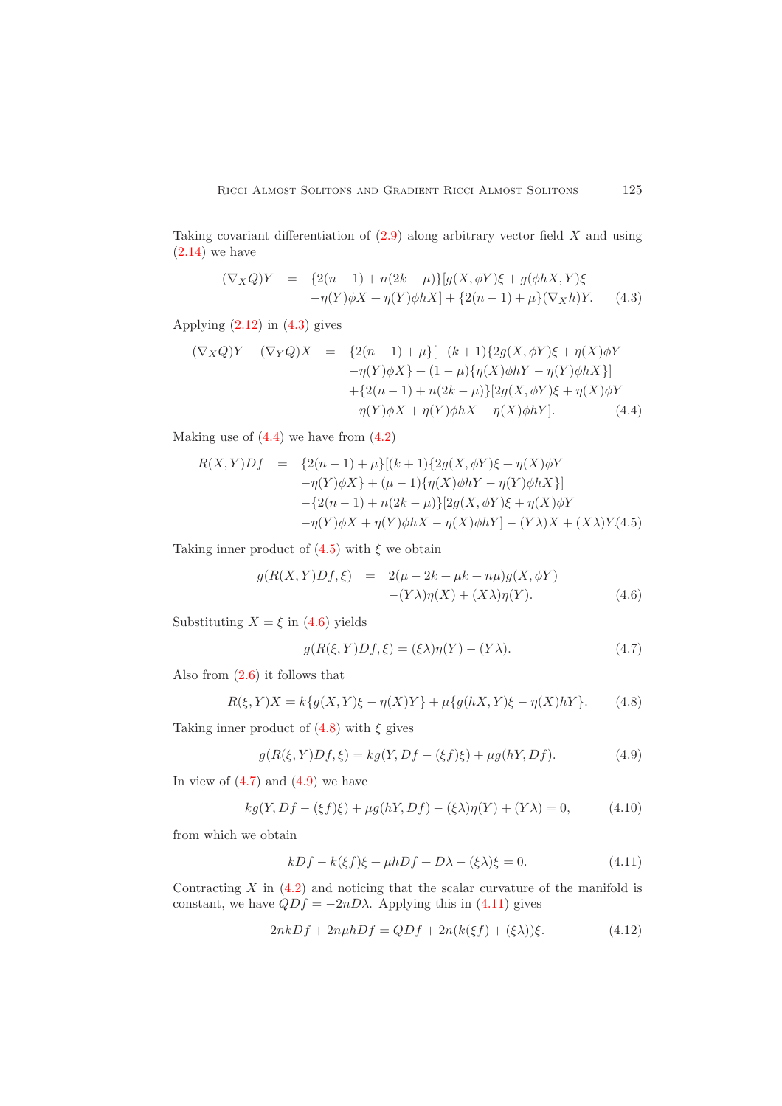Taking covariant differentiation of  $(2.9)$  along arbitrary vector field X and using  $(2.14)$  we have

<span id="page-6-0"></span>
$$
(\nabla_X Q)Y = \{2(n-1) + n(2k - \mu)\}[g(X, \phi Y)\xi + g(\phi hX, Y)\xi -\eta(Y)\phi X + \eta(Y)\phi hX] + \{2(n-1) + \mu\}(\nabla_X h)Y.
$$
 (4.3)

Applying  $(2.12)$  in  $(4.3)$  gives

<span id="page-6-1"></span>
$$
(\nabla_X Q)Y - (\nabla_Y Q)X = \{2(n-1) + \mu\}[-(k+1)\{2g(X, \phi Y)\xi + \eta(X)\phi Y - \eta(Y)\phi X\} + (1-\mu)\{\eta(X)\phi hY - \eta(Y)\phi hX\}] + \{2(n-1) + n(2k - \mu)\}[2g(X, \phi Y)\xi + \eta(X)\phi Y - \eta(Y)\phi X + \eta(Y)\phi hX - \eta(X)\phi hY].
$$
 (4.4)

Making use of  $(4.4)$  we have from  $(4.2)$ 

<span id="page-6-2"></span>
$$
R(X,Y)Df = \{2(n-1) + \mu\}[(k+1)\{2g(X,\phi Y)\xi + \eta(X)\phi Y
$$
  

$$
-\eta(Y)\phi X\} + (\mu - 1)\{\eta(X)\phi hY - \eta(Y)\phi hX\}]
$$
  

$$
-\{2(n-1) + n(2k-\mu)\}[2g(X,\phi Y)\xi + \eta(X)\phi Y
$$
  

$$
-\eta(Y)\phi X + \eta(Y)\phi hX - \eta(X)\phi hY] - (Y\lambda)X + (X\lambda)Y(4.5)
$$

Taking inner product of  $(4.5)$  with  $\xi$  we obtain

<span id="page-6-3"></span>
$$
g(R(X,Y)Df,\xi) = 2(\mu - 2k + \mu k + n\mu)g(X,\phi Y)
$$
  
-(Y\lambda)\eta(X) + (X\lambda)\eta(Y). (4.6)

Substituting  $X = \xi$  in [\(4.6\)](#page-6-3) yields

<span id="page-6-5"></span>
$$
g(R(\xi, Y)Df, \xi) = (\xi \lambda)\eta(Y) - (Y\lambda). \tag{4.7}
$$

Also from [\(2.6\)](#page-2-3) it follows that

<span id="page-6-4"></span>
$$
R(\xi, Y)X = k\{g(X, Y)\xi - \eta(X)Y\} + \mu\{g(hX, Y)\xi - \eta(X)hY\}.
$$
 (4.8)

Taking inner product of  $(4.8)$  with  $\xi$  gives

<span id="page-6-6"></span>
$$
g(R(\xi, Y)Df, \xi) = kg(Y, Df - (\xi f)\xi) + \mu g(hY, Df).
$$
 (4.9)

In view of  $(4.7)$  and  $(4.9)$  we have

$$
kg(Y, Df - (\xi f)\xi) + \mu g(hY, Df) - (\xi \lambda)\eta(Y) + (Y\lambda) = 0,
$$
\n(4.10)

from which we obtain

<span id="page-6-7"></span>
$$
kDf - k(\xi f)\xi + \mu hDf + D\lambda - (\xi \lambda)\xi = 0.
$$
\n(4.11)

Contracting  $X$  in  $(4.2)$  and noticing that the scalar curvature of the manifold is constant, we have  $QDf = -2nD\lambda$ . Applying this in [\(4.11\)](#page-6-7) gives

<span id="page-6-8"></span>
$$
2nkDf + 2n\mu hDf = QDf + 2n(k(\xi f) + (\xi \lambda))\xi.
$$
\n(4.12)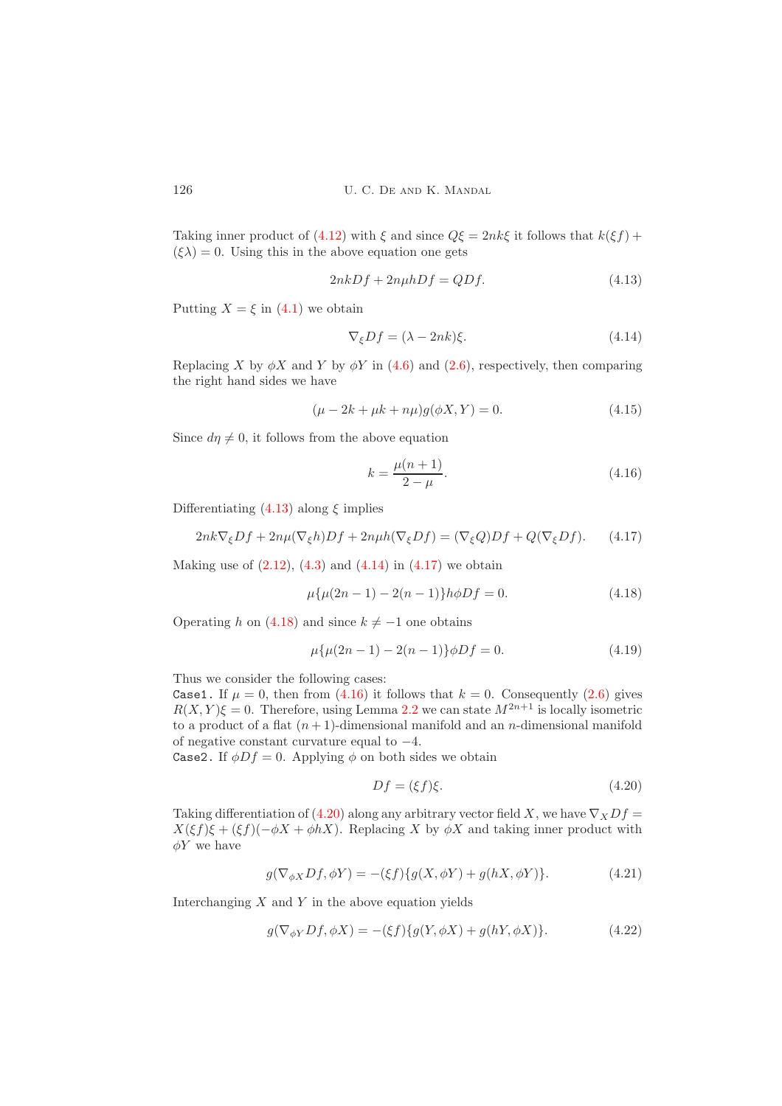Taking inner product of [\(4.12\)](#page-6-8) with  $\xi$  and since  $Q\xi = 2nk\xi$  it follows that  $k(\xi f)$  +  $(\xi \lambda) = 0$ . Using this in the above equation one gets

<span id="page-7-0"></span>
$$
2nkDf + 2n\mu hDf = QDf.
$$
\n(4.13)

Putting  $X = \xi$  in [\(4.1\)](#page-5-3) we obtain

<span id="page-7-1"></span>
$$
\nabla_{\xi}Df = (\lambda - 2nk)\xi. \tag{4.14}
$$

Replacing X by  $\phi X$  and Y by  $\phi Y$  in [\(4.6\)](#page-6-3) and [\(2.6\)](#page-2-3), respectively, then comparing the right hand sides we have

$$
(\mu - 2k + \mu k + n\mu)g(\phi X, Y) = 0.
$$
\n(4.15)

Since  $d\eta \neq 0$ , it follows from the above equation

<span id="page-7-4"></span>
$$
k = \frac{\mu(n+1)}{2 - \mu}.
$$
\n(4.16)

Differentiating  $(4.13)$  along  $\xi$  implies

<span id="page-7-2"></span>
$$
2nk\nabla_{\xi}Df + 2n\mu(\nabla_{\xi}h)Df + 2n\mu h(\nabla_{\xi}Df) = (\nabla_{\xi}Q)Df + Q(\nabla_{\xi}Df). \tag{4.17}
$$

Making use of  $(2.12)$ ,  $(4.3)$  and  $(4.14)$  in  $(4.17)$  we obtain

<span id="page-7-3"></span>
$$
\mu\{\mu(2n-1) - 2(n-1)\}h\phi Df = 0.
$$
\n(4.18)

Operating h on [\(4.18\)](#page-7-3) and since  $k \neq -1$  one obtains

$$
\mu\{\mu(2n-1) - 2(n-1)\}\phi Df = 0.
$$
\n(4.19)

Thus we consider the following cases:

Case1. If  $\mu = 0$ , then from [\(4.16\)](#page-7-4) it follows that  $k = 0$ . Consequently [\(2.6\)](#page-2-3) gives  $R(X, Y)\xi = 0$ . Therefore, using Lemma [2.2](#page-3-7) we can state  $M^{2n+1}$  is locally isometric to a product of a flat  $(n + 1)$ -dimensional manifold and an *n*-dimensional manifold of negative constant curvature equal to −4.

Case2. If  $\phi Df = 0$ . Applying  $\phi$  on both sides we obtain

<span id="page-7-5"></span>
$$
Df = (\xi f)\xi. \tag{4.20}
$$

Taking differentiation of [\(4.20\)](#page-7-5) along any arbitrary vector field X, we have  $\nabla_X Df =$  $X(\xi f)\xi + (\xi f)(-\phi X + \phi hX)$ . Replacing X by  $\phi X$  and taking inner product with  $\phi Y$  we have

<span id="page-7-6"></span>
$$
g(\nabla_{\phi X} Df, \phi Y) = -(\xi f)\{g(X, \phi Y) + g(hX, \phi Y)\}.
$$
\n(4.21)

Interchanging  $X$  and  $Y$  in the above equation yields

<span id="page-7-7"></span>
$$
g(\nabla_{\phi Y} Df, \phi X) = -(\xi f) \{ g(Y, \phi X) + g(hY, \phi X) \}.
$$
 (4.22)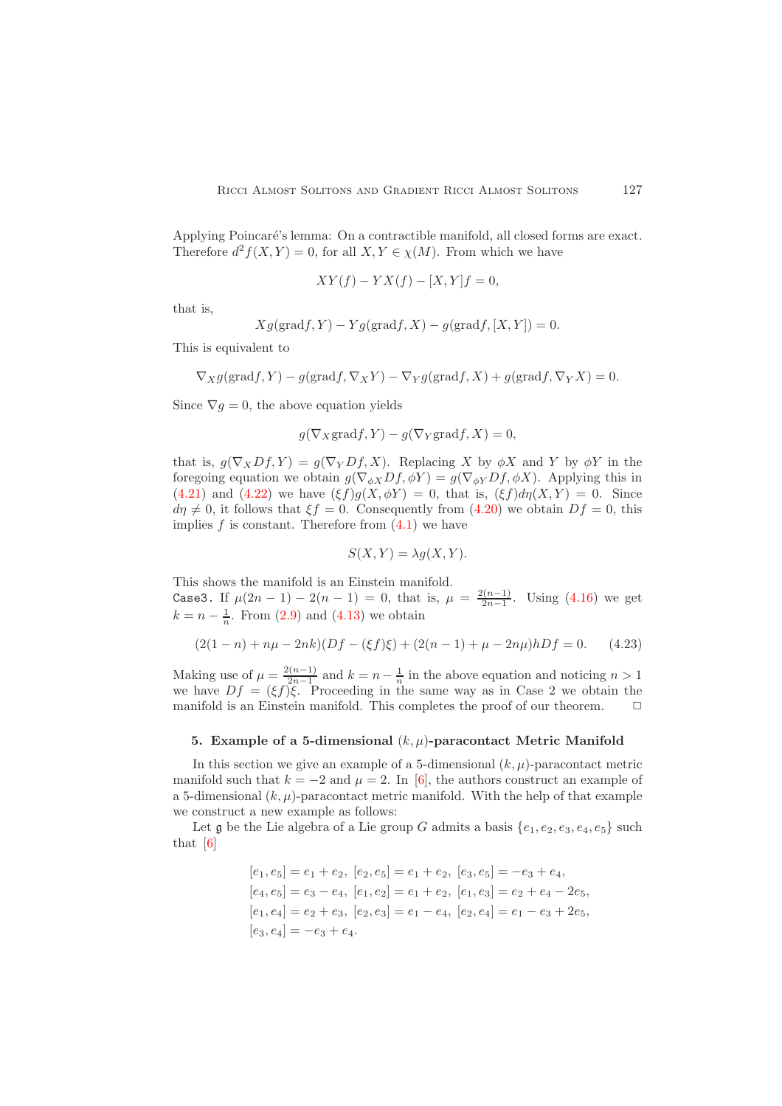Applying Poincaré's lemma: On a contractible manifold, all closed forms are exact. Therefore  $d^2 f(X, Y) = 0$ , for all  $X, Y \in \chi(M)$ . From which we have

$$
XY(f) - YX(f) - [X, Y]f = 0,
$$

that is,

$$
Xg(\text{grad}f, Y) - Yg(\text{grad}f, X) - g(\text{grad}f, [X, Y]) = 0.
$$

This is equivalent to

$$
\nabla_X g(\text{grad} f, Y) - g(\text{grad} f, \nabla_X Y) - \nabla_Y g(\text{grad} f, X) + g(\text{grad} f, \nabla_Y X) = 0.
$$

Since  $\nabla g = 0$ , the above equation yields

$$
g(\nabla_X \text{grad} f, Y) - g(\nabla_Y \text{grad} f, X) = 0,
$$

that is,  $g(\nabla_X Df, Y) = g(\nabla_Y Df, X)$ . Replacing X by  $\phi X$  and Y by  $\phi Y$  in the foregoing equation we obtain  $g(\nabla_{\phi X}Df, \phi Y) = g(\nabla_{\phi Y}Df, \phi X)$ . Applying this in [\(4.21\)](#page-7-6) and [\(4.22\)](#page-7-7) we have  $(\xi f)g(X, \phi Y) = 0$ , that is,  $(\xi f)d\eta(X, Y) = 0$ . Since  $d\eta \neq 0$ , it follows that  $\xi f = 0$ . Consequently from [\(4.20\)](#page-7-5) we obtain  $Df = 0$ , this implies  $f$  is constant. Therefore from  $(4.1)$  we have

$$
S(X, Y) = \lambda g(X, Y).
$$

This shows the manifold is an Einstein manifold. Case3. If  $\mu(2n-1) - 2(n-1) = 0$ , that is,  $\mu = \frac{2(n-1)}{2n-1}$  $\frac{2n-1}{2n-1}$ . Using [\(4.16\)](#page-7-4) we get  $k = n - \frac{1}{n}$ . From [\(2.9\)](#page-3-1) and [\(4.13\)](#page-7-0) we obtain

$$
(2(1 - n) + n\mu - 2nk)(Df - (\xi f)\xi) + (2(n - 1) + \mu - 2n\mu)hDf = 0.
$$
 (4.23)

Making use of  $\mu = \frac{2(n-1)}{2n-1}$  $\frac{2(n-1)}{2n-1}$  and  $k = n - \frac{1}{n}$  in the above equation and noticing  $n > 1$ we have  $Df = (\xi f)\xi$ . Proceeding in the same way as in Case 2 we obtain the manifold is an Einstein manifold. This completes the proof of our theorem.  $\Box$ 

## <span id="page-8-0"></span>5. Example of a 5-dimensional  $(k, \mu)$ -paracontact Metric Manifold

In this section we give an example of a 5-dimensional  $(k, \mu)$ -paracontact metric manifold such that  $k = -2$  and  $\mu = 2$ . In [\[6\]](#page-10-18), the authors construct an example of a 5-dimensional  $(k, \mu)$ -paracontact metric manifold. With the help of that example we construct a new example as follows:

Let g be the Lie algebra of a Lie group G admits a basis  $\{e_1, e_2, e_3, e_4, e_5\}$  such that [\[6\]](#page-10-18)

$$
[e_1, e_5] = e_1 + e_2, [e_2, e_5] = e_1 + e_2, [e_3, e_5] = -e_3 + e_4,
$$
  
\n
$$
[e_4, e_5] = e_3 - e_4, [e_1, e_2] = e_1 + e_2, [e_1, e_3] = e_2 + e_4 - 2e_5,
$$
  
\n
$$
[e_1, e_4] = e_2 + e_3, [e_2, e_3] = e_1 - e_4, [e_2, e_4] = e_1 - e_3 + 2e_5,
$$
  
\n
$$
[e_3, e_4] = -e_3 + e_4.
$$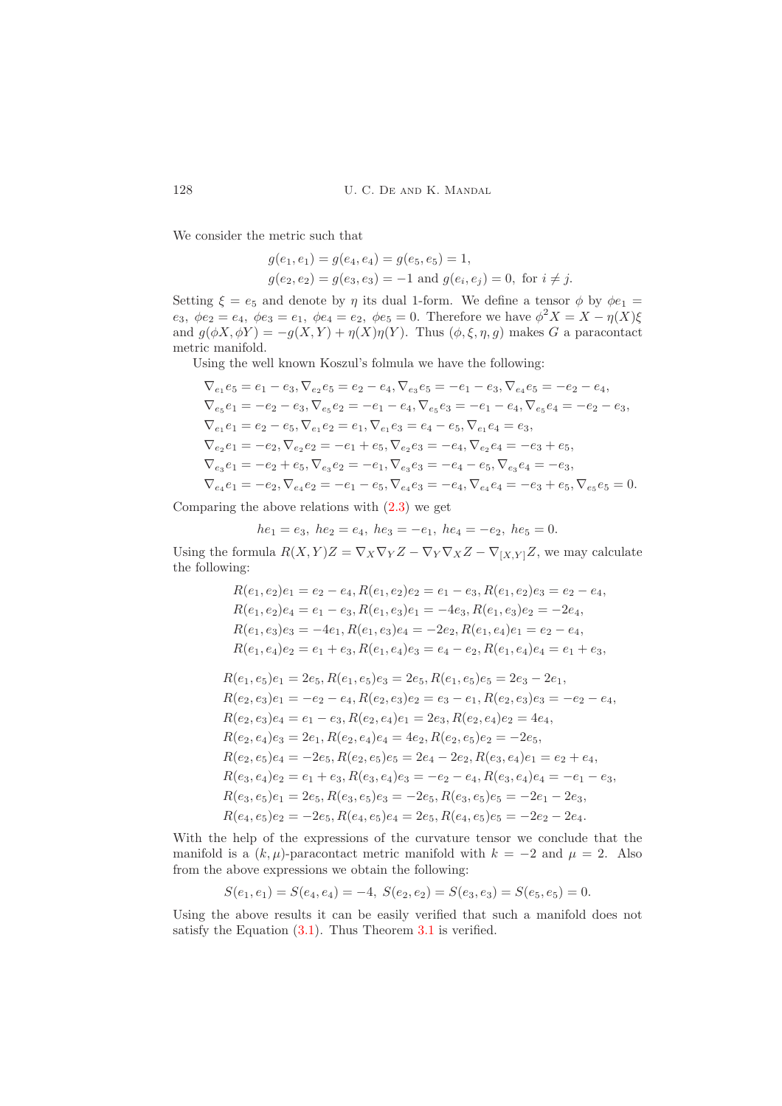We consider the metric such that

$$
g(e_1, e_1) = g(e_4, e_4) = g(e_5, e_5) = 1,
$$
  
\n
$$
g(e_2, e_2) = g(e_3, e_3) = -1
$$
 and 
$$
g(e_i, e_j) = 0
$$
, for  $i \neq j$ .

Setting  $\xi = e_5$  and denote by  $\eta$  its dual 1-form. We define a tensor  $\phi$  by  $\phi e_1 =$  $e_3, \ \phi e_2 = e_4, \ \phi e_3 = e_1, \ \phi e_4 = e_2, \ \phi e_5 = 0.$  Therefore we have  $\phi^2 X = X - \eta(X)\xi$ and  $g(\phi X, \phi Y) = -g(X, Y) + \eta(X)\eta(Y)$ . Thus  $(\phi, \xi, \eta, g)$  makes G a paracontact metric manifold.

Using the well known Koszul's folmula we have the following:

$$
\nabla_{e_1} e_5 = e_1 - e_3, \nabla_{e_2} e_5 = e_2 - e_4, \nabla_{e_3} e_5 = -e_1 - e_3, \nabla_{e_4} e_5 = -e_2 - e_4,
$$
\n
$$
\nabla_{e_5} e_1 = -e_2 - e_3, \nabla_{e_5} e_2 = -e_1 - e_4, \nabla_{e_5} e_3 = -e_1 - e_4, \nabla_{e_5} e_4 = -e_2 - e_3,
$$
\n
$$
\nabla_{e_1} e_1 = e_2 - e_5, \nabla_{e_1} e_2 = e_1, \nabla_{e_1} e_3 = e_4 - e_5, \nabla_{e_1} e_4 = e_3,
$$
\n
$$
\nabla_{e_2} e_1 = -e_2, \nabla_{e_2} e_2 = -e_1 + e_5, \nabla_{e_2} e_3 = -e_4, \nabla_{e_2} e_4 = -e_3 + e_5,
$$
\n
$$
\nabla_{e_3} e_1 = -e_2 + e_5, \nabla_{e_3} e_2 = -e_1, \nabla_{e_3} e_3 = -e_4 - e_5, \nabla_{e_3} e_4 = -e_3,
$$
\n
$$
\nabla_{e_4} e_1 = -e_2, \nabla_{e_4} e_2 = -e_1 - e_5, \nabla_{e_4} e_3 = -e_4, \nabla_{e_4} e_4 = -e_3 + e_5, \nabla_{e_5} e_5 = 0.
$$

Comparing the above relations with [\(2.3\)](#page-2-2) we get

 $he_1 = e_3$ ,  $he_2 = e_4$ ,  $he_3 = -e_1$ ,  $he_4 = -e_2$ ,  $he_5 = 0$ .

Using the formula  $R(X, Y)Z = \nabla_X \nabla_Y Z - \nabla_Y \nabla_X Z - \nabla_{[X, Y]} Z$ , we may calculate the following:

$$
R(e_1, e_2)e_1 = e_2 - e_4, R(e_1, e_2)e_2 = e_1 - e_3, R(e_1, e_2)e_3 = e_2 - e_4,
$$
  
\n
$$
R(e_1, e_2)e_4 = e_1 - e_3, R(e_1, e_3)e_1 = -4e_3, R(e_1, e_3)e_2 = -2e_4,
$$
  
\n
$$
R(e_1, e_3)e_3 = -4e_1, R(e_1, e_3)e_4 = -2e_2, R(e_1, e_4)e_1 = e_2 - e_4,
$$
  
\n
$$
R(e_1, e_4)e_2 = e_1 + e_3, R(e_1, e_4)e_3 = e_4 - e_2, R(e_1, e_4)e_4 = e_1 + e_3,
$$

$$
R(e_1, e_5)e_1 = 2e_5, R(e_1, e_5)e_3 = 2e_5, R(e_1, e_5)e_5 = 2e_3 - 2e_1,
$$
  
\n
$$
R(e_2, e_3)e_1 = -e_2 - e_4, R(e_2, e_3)e_2 = e_3 - e_1, R(e_2, e_3)e_3 = -e_2 - e_4,
$$
  
\n
$$
R(e_2, e_3)e_4 = e_1 - e_3, R(e_2, e_4)e_1 = 2e_3, R(e_2, e_4)e_2 = 4e_4,
$$
  
\n
$$
R(e_2, e_4)e_3 = 2e_1, R(e_2, e_4)e_4 = 4e_2, R(e_2, e_5)e_2 = -2e_5,
$$
  
\n
$$
R(e_2, e_5)e_4 = -2e_5, R(e_2, e_5)e_5 = 2e_4 - 2e_2, R(e_3, e_4)e_1 = e_2 + e_4,
$$
  
\n
$$
R(e_3, e_4)e_2 = e_1 + e_3, R(e_3, e_4)e_3 = -e_2 - e_4, R(e_3, e_4)e_4 = -e_1 - e_3,
$$
  
\n
$$
R(e_3, e_5)e_1 = 2e_5, R(e_3, e_5)e_3 = -2e_5, R(e_3, e_5)e_5 = -2e_1 - 2e_3,
$$
  
\n
$$
R(e_4, e_5)e_2 = -2e_5, R(e_4, e_5)e_4 = 2e_5, R(e_4, e_5)e_5 = -2e_2 - 2e_4.
$$

With the help of the expressions of the curvature tensor we conclude that the manifold is a  $(k, \mu)$ -paracontact metric manifold with  $k = -2$  and  $\mu = 2$ . Also from the above expressions we obtain the following:

$$
S(e_1, e_1) = S(e_4, e_4) = -4, \ S(e_2, e_2) = S(e_3, e_3) = S(e_5, e_5) = 0.
$$

Using the above results it can be easily verified that such a manifold does not satisfy the Equation  $(3.1)$  $(3.1)$  $(3.1)$ . Thus Theorem 3.1 is verified.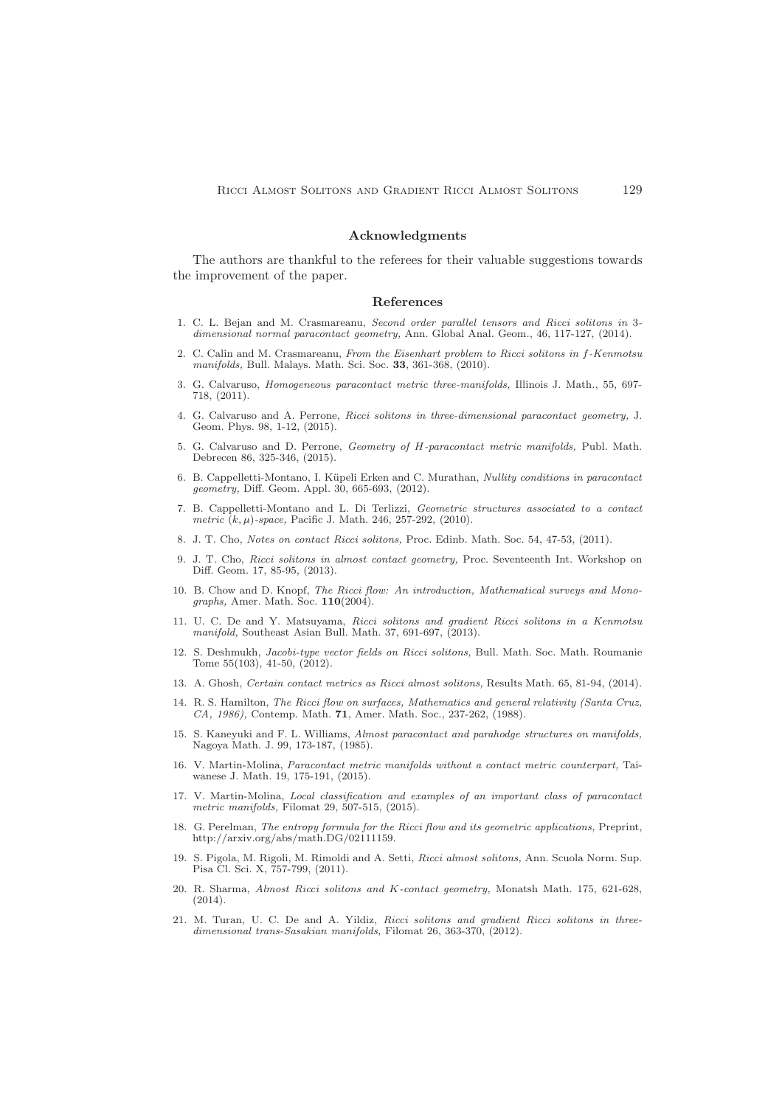## Acknowledgments

The authors are thankful to the referees for their valuable suggestions towards the improvement of the paper.

#### <span id="page-10-0"></span>References

- <span id="page-10-4"></span>1. C. L. Bejan and M. Crasmareanu, *Second order parallel tensors and Ricci solitons in* 3 *dimensional normal paracontact geometry,* Ann. Global Anal. Geom., 46, 117-127, (2014).
- <span id="page-10-1"></span>2. C. Calin and M. Crasmareanu, *From the Eisenhart problem to Ricci solitons in* f*-Kenmotsu manifolds,* Bull. Malays. Math. Sci. Soc. 33, 361-368, (2010).
- <span id="page-10-17"></span>3. G. Calvaruso, *Homogeneous paracontact metric three-manifolds,* Illinois J. Math., 55, 697- 718, (2011).
- <span id="page-10-11"></span>4. G. Calvaruso and A. Perrone, *Ricci solitons in three-dimensional paracontact geometry,* J. Geom. Phys. 98, 1-12, (2015).
- <span id="page-10-12"></span>5. G. Calvaruso and D. Perrone, *Geometry of* H*-paracontact metric manifolds,* Publ. Math. Debrecen 86, 325-346, (2015).
- <span id="page-10-18"></span>6. B. Cappelletti-Montano, I. K¨upeli Erken and C. Murathan, *Nullity conditions in paracontact geometry,* Diff. Geom. Appl. 30, 665-693, (2012).
- <span id="page-10-19"></span>7. B. Cappelletti-Montano and L. Di Terlizzi, *Geometric structures associated to a contact metric* (k, µ)*-space,* Pacific J. Math. 246, 257-292, (2010).
- <span id="page-10-6"></span><span id="page-10-5"></span>8. J. T. Cho, *Notes on contact Ricci solitons,* Proc. Edinb. Math. Soc. 54, 47-53, (2011).
- 9. J. T. Cho, *Ricci solitons in almost contact geometry,* Proc. Seventeenth Int. Workshop on Diff. Geom. 17, 85-95, (2013).
- <span id="page-10-3"></span>10. B. Chow and D. Knopf, *The Ricci flow: An introduction, Mathematical surveys and Monographs,* Amer. Math. Soc. 110(2004).
- <span id="page-10-7"></span>11. U. C. De and Y. Matsuyama, *Ricci solitons and gradient Ricci solitons in a Kenmotsu manifold,* Southeast Asian Bull. Math. 37, 691-697, (2013).
- <span id="page-10-8"></span>12. S. Deshmukh, *Jacobi-type vector fields on Ricci solitons,* Bull. Math. Soc. Math. Roumanie Tome  $55(103)$ ,  $41-50$ ,  $(2012)$ .
- <span id="page-10-15"></span><span id="page-10-9"></span>13. A. Ghosh, *Certain contact metrics as Ricci almost solitons,* Results Math. 65, 81-94, (2014).
- 14. R. S. Hamilton, *The Ricci flow on surfaces, Mathematics and general relativity (Santa Cruz, CA, 1986),* Contemp. Math. 71, Amer. Math. Soc., 237-262, (1988).
- <span id="page-10-16"></span>15. S. Kaneyuki and F. L. Williams, *Almost paracontact and parahodge structures on manifolds,* Nagoya Math. J. 99, 173-187, (1985).
- <span id="page-10-20"></span>16. V. Martin-Molina, *Paracontact metric manifolds without a contact metric counterpart,* Taiwanese J. Math. 19, 175-191, (2015).
- <span id="page-10-21"></span>17. V. Martin-Molina, *Local classification and examples of an important class of paracontact metric manifolds,* Filomat 29, 507-515, (2015).
- <span id="page-10-2"></span>18. G. Perelman, *The entropy formula for the Ricci flow and its geometric applications,* Preprint, http://arxiv.org/abs/math.DG/02111159.
- <span id="page-10-13"></span>19. S. Pigola, M. Rigoli, M. Rimoldi and A. Setti, *Ricci almost solitons,* Ann. Scuola Norm. Sup. Pisa Cl. Sci. X, 757-799, (2011).
- <span id="page-10-14"></span>20. R. Sharma, *Almost Ricci solitons and* K*-contact geometry,* Monatsh Math. 175, 621-628, (2014).
- <span id="page-10-10"></span>21. M. Turan, U. C. De and A. Yildiz, *Ricci solitons and gradient Ricci solitons in threedimensional trans-Sasakian manifolds,* Filomat 26, 363-370, (2012).